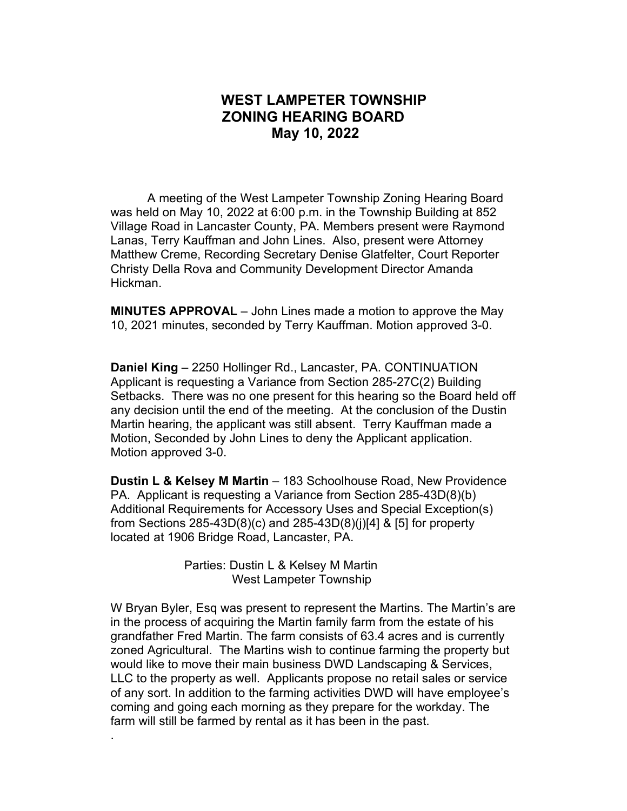## **WEST LAMPETER TOWNSHIP ZONING HEARING BOARD May 10, 2022**

A meeting of the West Lampeter Township Zoning Hearing Board was held on May 10, 2022 at 6:00 p.m. in the Township Building at 852 Village Road in Lancaster County, PA. Members present were Raymond Lanas, Terry Kauffman and John Lines. Also, present were Attorney Matthew Creme, Recording Secretary Denise Glatfelter, Court Reporter Christy Della Rova and Community Development Director Amanda Hickman.

**MINUTES APPROVAL** – John Lines made a motion to approve the May 10, 2021 minutes, seconded by Terry Kauffman. Motion approved 3-0.

**Daniel King** – 2250 Hollinger Rd., Lancaster, PA. CONTINUATION Applicant is requesting a Variance from Section 285-27C(2) Building Setbacks. There was no one present for this hearing so the Board held off any decision until the end of the meeting. At the conclusion of the Dustin Martin hearing, the applicant was still absent. Terry Kauffman made a Motion, Seconded by John Lines to deny the Applicant application. Motion approved 3-0.

**Dustin L & Kelsey M Martin** – 183 Schoolhouse Road, New Providence PA. Applicant is requesting a Variance from Section 285-43D(8)(b) Additional Requirements for Accessory Uses and Special Exception(s) from Sections 285-43D(8)(c) and 285-43D(8)(j)[4] & [5] for property located at 1906 Bridge Road, Lancaster, PA.

> Parties: Dustin L & Kelsey M Martin West Lampeter Township

.

W Bryan Byler, Esq was present to represent the Martins. The Martin's are in the process of acquiring the Martin family farm from the estate of his grandfather Fred Martin. The farm consists of 63.4 acres and is currently zoned Agricultural. The Martins wish to continue farming the property but would like to move their main business DWD Landscaping & Services, LLC to the property as well. Applicants propose no retail sales or service of any sort. In addition to the farming activities DWD will have employee's coming and going each morning as they prepare for the workday. The farm will still be farmed by rental as it has been in the past.